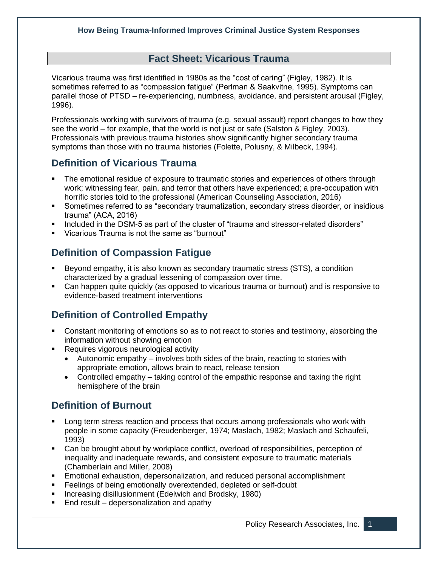### **Fact Sheet: Vicarious Trauma**

Vicarious trauma was first identified in 1980s as the "cost of caring" (Figley, 1982). It is sometimes referred to as "compassion fatigue" (Perlman & Saakvitne, 1995). Symptoms can parallel those of PTSD – re-experiencing, numbness, avoidance, and persistent arousal (Figley, 1996).

Professionals working with survivors of trauma (e.g. sexual assault) report changes to how they see the world – for example, that the world is not just or safe (Salston & Figley, 2003). Professionals with previous trauma histories show significantly higher secondary trauma symptoms than those with no trauma histories (Folette, Polusny, & Milbeck, 1994).

### **Definition of Vicarious Trauma**

- The emotional residue of exposure to traumatic stories and experiences of others through work; witnessing fear, pain, and terror that others have experienced; a pre-occupation with horrific stories told to the professional (American Counseling Association, 2016)
- **•** Sometimes referred to as "secondary traumatization, secondary stress disorder, or insidious trauma" (ACA, 2016)
- Included in the DSM-5 as part of the cluster of "trauma and stressor-related disorders"
- Vicarious Trauma is not the same as "burnout"

# **Definition of Compassion Fatigue**

- Beyond empathy, it is also known as secondary traumatic stress (STS), a condition characterized by a gradual lessening of compassion over time.
- Can happen quite quickly (as opposed to vicarious trauma or burnout) and is responsive to evidence-based treatment interventions

# **Definition of Controlled Empathy**

- Constant monitoring of emotions so as to not react to stories and testimony, absorbing the information without showing emotion
- Requires vigorous neurological activity
	- Autonomic empathy involves both sides of the brain, reacting to stories with appropriate emotion, allows brain to react, release tension
	- Controlled empathy taking control of the empathic response and taxing the right hemisphere of the brain

## **Definition of Burnout**

- Long term stress reaction and process that occurs among professionals who work with people in some capacity (Freudenberger, 1974; Maslach, 1982; Maslach and Schaufeli, 1993)
- Can be brought about by workplace conflict, overload of responsibilities, perception of inequality and inadequate rewards, and consistent exposure to traumatic materials (Chamberlain and Miller, 2008)
- Emotional exhaustion, depersonalization, and reduced personal accomplishment
- Feelings of being emotionally overextended, depleted or self-doubt
- Increasing disillusionment (Edelwich and Brodsky, 1980)
- End result depersonalization and apathy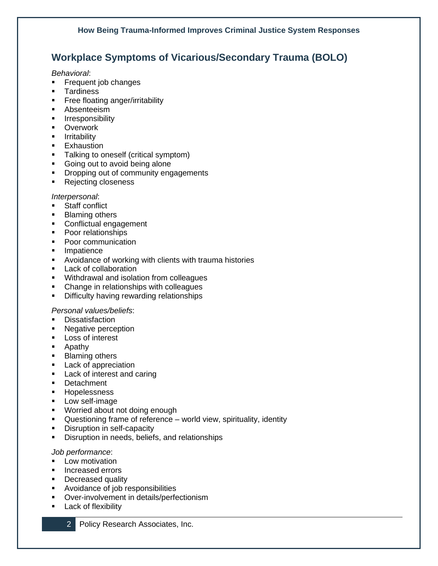# **Workplace Symptoms of Vicarious/Secondary Trauma (BOLO)**

*Behavioral*:

- Frequent job changes
- Tardiness
- **•** Free floating anger/irritability
- Absenteeism
- **·** Irresponsibility
- Overwork
- **■** Irritability
- **Exhaustion**
- Talking to oneself (critical symptom)
- Going out to avoid being alone
- **•** Dropping out of community engagements
- Rejecting closeness

#### *Interpersonal*:

- Staff conflict
- Blaming others
- Conflictual engagement
- Poor relationships
- Poor communication
- Impatience
- Avoidance of working with clients with trauma histories
- Lack of collaboration
- Withdrawal and isolation from colleagues
- Change in relationships with colleagues
- **•** Difficulty having rewarding relationships

#### *Personal values/beliefs*:

- Dissatisfaction
- Negative perception
- Loss of interest
- Apathy
- Blaming others
- Lack of appreciation
- Lack of interest and caring
- Detachment
- Hopelessness
- Low self-image
- Worried about not doing enough
- Questioning frame of reference world view, spirituality, identity
- **•** Disruption in self-capacity
- **•** Disruption in needs, beliefs, and relationships

### *Job performance*:

- **■** Low motivation
- Increased errors
- Decreased quality
- Avoidance of job responsibilities
- Over-involvement in details/perfectionism
- **Lack of flexibility**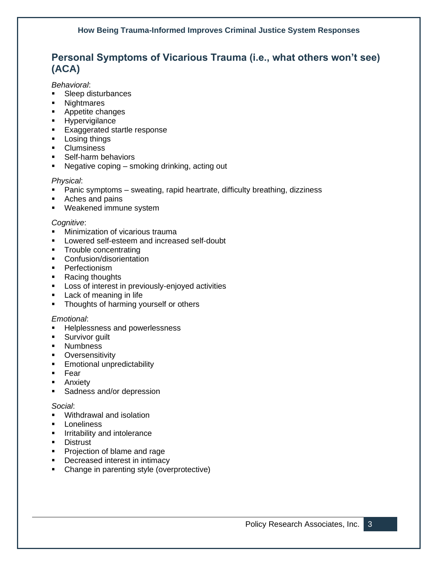# **Personal Symptoms of Vicarious Trauma (i.e., what others won't see) (ACA)**

*Behavioral*:

- Sleep disturbances
- Nightmares
- Appetite changes
- Hypervigilance
- **Exaggerated startle response**
- Losing things
- Clumsiness
- Self-harm behaviors
- Negative coping smoking drinking, acting out

### *Physical*:

- **•** Panic symptoms sweating, rapid heartrate, difficulty breathing, dizziness
- Aches and pains
- Weakened immune system

### *Cognitive*:

- **■** Minimization of vicarious trauma
- Lowered self-esteem and increased self-doubt
- Trouble concentrating
- Confusion/disorientation
- Perfectionism
- Racing thoughts
- Loss of interest in previously-enjoyed activities
- Lack of meaning in life
- **•** Thoughts of harming yourself or others

#### *Emotional*:

- Helplessness and powerlessness
- **EXECUTE:** Survivor guilt
- Numbness
- **•** Oversensitivity
- Emotional unpredictability
- Fear
- Anxiety
- Sadness and/or depression

#### *Social*:

- Withdrawal and isolation
- Loneliness
- **·** Irritability and intolerance
- Distrust
- Projection of blame and rage
- Decreased interest in intimacy
- Change in parenting style (overprotective)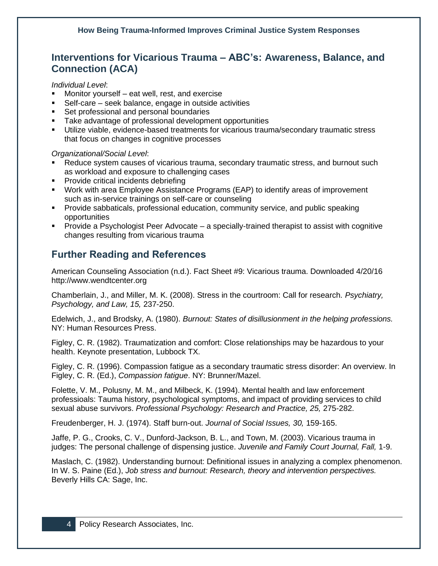## **Interventions for Vicarious Trauma – ABC's: Awareness, Balance, and Connection (ACA)**

*Individual Level*:

- Monitor yourself eat well, rest, and exercise
- Self-care seek balance, engage in outside activities
- Set professional and personal boundaries
- Take advantage of professional development opportunities
- Utilize viable, evidence-based treatments for vicarious trauma/secondary traumatic stress that focus on changes in cognitive processes

*Organizational/Social Level*:

- Reduce system causes of vicarious trauma, secondary traumatic stress, and burnout such as workload and exposure to challenging cases
- **•** Provide critical incidents debriefing
- Work with area Employee Assistance Programs (EAP) to identify areas of improvement such as in-service trainings on self-care or counseling
- **•** Provide sabbaticals, professional education, community service, and public speaking opportunities
- Provide a Psychologist Peer Advocate a specially-trained therapist to assist with cognitive changes resulting from vicarious trauma

# **Further Reading and References**

American Counseling Association (n.d.). Fact Sheet #9: Vicarious trauma. Downloaded 4/20/16 http://www.wendtcenter.org

Chamberlain, J., and Miller, M. K. (2008). Stress in the courtroom: Call for research. *Psychiatry, Psychology, and Law, 15,* 237-250.

Edelwich, J., and Brodsky, A. (1980). *Burnout: States of disillusionment in the helping professions.* NY: Human Resources Press.

Figley, C. R. (1982). Traumatization and comfort: Close relationships may be hazardous to your health. Keynote presentation, Lubbock TX.

Figley, C. R. (1996). Compassion fatigue as a secondary traumatic stress disorder: An overview. In Figley, C. R. (Ed.), *Compassion fatigue*. NY: Brunner/Mazel.

Folette, V. M., Polusny, M. M., and Milbeck, K. (1994). Mental health and law enforcement professioals: Tauma history, psychological symptoms, and impact of providing services to child sexual abuse survivors. *Professional Psychology: Research and Practice, 25,* 275-282.

Freudenberger, H. J. (1974). Staff burn-out. *Journal of Social Issues, 30,* 159-165.

Jaffe, P. G., Crooks, C. V., Dunford-Jackson, B. L., and Town, M. (2003). Vicarious trauma in judges: The personal challenge of dispensing justice. *Juvenile and Family Court Journal, Fall,* 1-9.

Maslach, C. (1982). Understanding burnout: Definitional issues in analyzing a complex phenomenon. In W. S. Paine (Ed.), *Job stress and burnout: Research, theory and intervention perspectives.* Beverly Hills CA: Sage, Inc.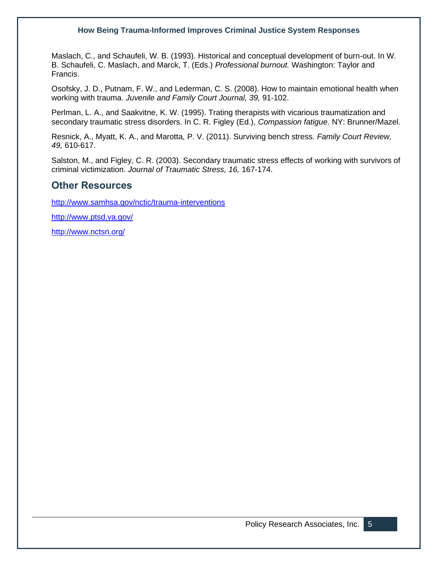Maslach, C., and Schaufeli, W. B. (1993). Historical and conceptual development of burn-out. In W. B. Schaufeli, C. Maslach, and Marck, T. (Eds.) *Professional burnout.* Washington: Taylor and Francis.

Osofsky, J. D., Putnam, F. W., and Lederman, C. S. (2008). How to maintain emotional health when working with trauma. *Juvenile and Family Court Journal, 39,* 91-102.

Perlman, L. A., and Saakvitne, K. W. (1995). Trating therapists with vicarious traumatization and secondary traumatic stress disorders. In C. R. Figley (Ed.), *Compassion fatigue*. NY: Brunner/Mazel.

Resnick, A., Myatt, K. A., and Marotta, P. V. (2011). Surviving bench stress. *Family Court Review, 49,* 610-617.

Salston, M., and Figley, C. R. (2003). Secondary traumatic stress effects of working with survivors of criminal victimization. *Journal of Traumatic Stress, 16,* 167-174.

### **Other Resources**

<http://www.samhsa.gov/nctic/trauma-interventions>

<http://www.ptsd.va.gov/>

<http://www.nctsn.org/>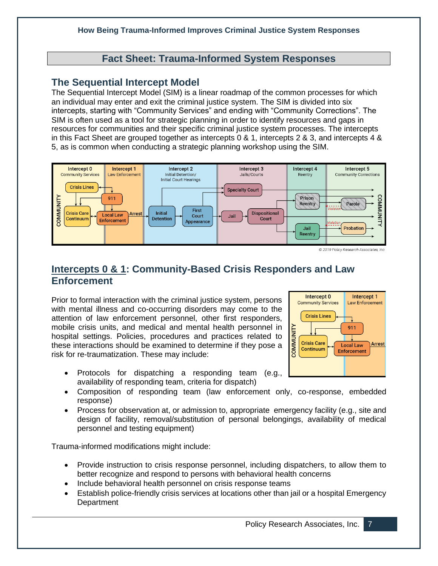### **Fact Sheet: Trauma-Informed System Responses**

### **The Sequential Intercept Model**

The Sequential Intercept Model (SIM) is a linear roadmap of the common processes for which an individual may enter and exit the criminal justice system. The SIM is divided into six intercepts, starting with "Community Services" and ending with "Community Corrections". The SIM is often used as a tool for strategic planning in order to identify resources and gaps in resources for communities and their specific criminal justice system processes. The intercepts in this Fact Sheet are grouped together as intercepts 0 & 1, intercepts 2 & 3, and intercepts 4 & 5, as is common when conducting a strategic planning workshop using the SIM.



@ 2019 Policy Research Associates. Inc.

## **Intercepts 0 & 1: Community-Based Crisis Responders and Law Enforcement**

Prior to formal interaction with the criminal justice system, persons with mental illness and co-occurring disorders may come to the attention of law enforcement personnel, other first responders, mobile crisis units, and medical and mental health personnel in hospital settings. Policies, procedures and practices related to these interactions should be examined to determine if they pose a risk for re-traumatization. These may include:

- Protocols for dispatching a responding team (e.g., availability of responding team, criteria for dispatch)
- Composition of responding team (law enforcement only, co-response, embedded response)
- Process for observation at, or admission to, appropriate emergency facility (e.g., site and design of facility, removal/substitution of personal belongings, availability of medical personnel and testing equipment)

Trauma-informed modifications might include:

- Provide instruction to crisis response personnel, including dispatchers, to allow them to better recognize and respond to persons with behavioral health concerns
- Include behavioral health personnel on crisis response teams
- Establish police-friendly crisis services at locations other than jail or a hospital Emergency **Department**

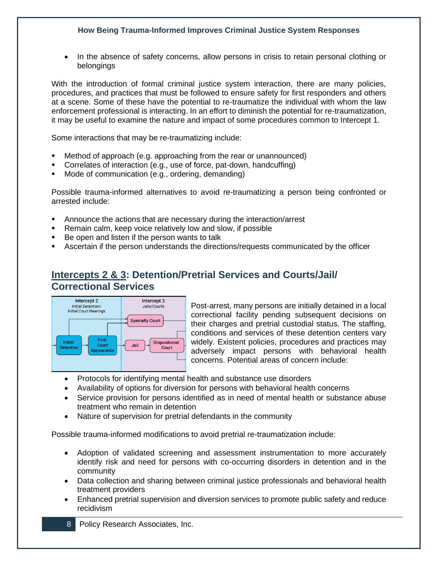• In the absence of safety concerns, allow persons in crisis to retain personal clothing or belongings

With the introduction of formal criminal justice system interaction, there are many policies, procedures, and practices that must be followed to ensure safety for first responders and others at a scene. Some of these have the potential to re-traumatize the individual with whom the law enforcement professional is interacting. In an effort to diminish the potential for re-traumatization, it may be useful to examine the nature and impact of some procedures common to Intercept 1.

Some interactions that may be re-traumatizing include:

- Method of approach (e.g. approaching from the rear or unannounced)
- Correlates of interaction (e.g., use of force, pat-down, handcuffing)
- Mode of communication (e.g., ordering, demanding)

Possible trauma-informed alternatives to avoid re-traumatizing a person being confronted or arrested include:

- Announce the actions that are necessary during the interaction/arrest
- Remain calm, keep voice relatively low and slow, if possible
- Be open and listen if the person wants to talk
- **EXECT Ascertain if the person understands the directions/requests communicated by the officer**

## **Intercepts 2 & 3: Detention/Pretrial Services and Courts/Jail/ Correctional Services**



Post-arrest, many persons are initially detained in a local correctional facility pending subsequent decisions on their charges and pretrial custodial status. The staffing, conditions and services of these detention centers vary widely. Existent policies, procedures and practices may adversely impact persons with behavioral health concerns. Potential areas of concern include:

- Protocols for identifying mental health and substance use disorders
- Availability of options for diversion for persons with behavioral health concerns
- Service provision for persons identified as in need of mental health or substance abuse treatment who remain in detention
- Nature of supervision for pretrial defendants in the community

Possible trauma-informed modifications to avoid pretrial re-traumatization include:

- Adoption of validated screening and assessment instrumentation to more accurately identify risk and need for persons with co-occurring disorders in detention and in the community
- Data collection and sharing between criminal justice professionals and behavioral health treatment providers
- Enhanced pretrial supervision and diversion services to promote public safety and reduce recidivism
- 8 Policy Research Associates, Inc.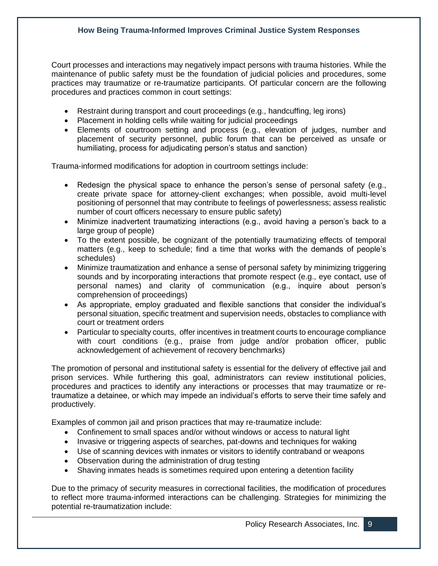Court processes and interactions may negatively impact persons with trauma histories. While the maintenance of public safety must be the foundation of judicial policies and procedures, some practices may traumatize or re-traumatize participants. Of particular concern are the following procedures and practices common in court settings:

- Restraint during transport and court proceedings (e.g., handcuffing, leg irons)
- Placement in holding cells while waiting for judicial proceedings
- Elements of courtroom setting and process (e.g., elevation of judges, number and placement of security personnel, public forum that can be perceived as unsafe or humiliating, process for adjudicating person's status and sanction)

Trauma-informed modifications for adoption in courtroom settings include:

- Redesign the physical space to enhance the person's sense of personal safety (e.g., create private space for attorney-client exchanges; when possible, avoid multi-level positioning of personnel that may contribute to feelings of powerlessness; assess realistic number of court officers necessary to ensure public safety)
- Minimize inadvertent traumatizing interactions (e.g., avoid having a person's back to a large group of people)
- To the extent possible, be cognizant of the potentially traumatizing effects of temporal matters (e.g., keep to schedule; find a time that works with the demands of people's schedules)
- Minimize traumatization and enhance a sense of personal safety by minimizing triggering sounds and by incorporating interactions that promote respect (e.g., eye contact, use of personal names) and clarity of communication (e.g., inquire about person's comprehension of proceedings)
- As appropriate, employ graduated and flexible sanctions that consider the individual's personal situation, specific treatment and supervision needs, obstacles to compliance with court or treatment orders
- Particular to specialty courts, offer incentives in treatment courts to encourage compliance with court conditions (e.g., praise from judge and/or probation officer, public acknowledgement of achievement of recovery benchmarks)

The promotion of personal and institutional safety is essential for the delivery of effective jail and prison services. While furthering this goal, administrators can review institutional policies, procedures and practices to identify any interactions or processes that may traumatize or retraumatize a detainee, or which may impede an individual's efforts to serve their time safely and productively.

Examples of common jail and prison practices that may re-traumatize include:

- Confinement to small spaces and/or without windows or access to natural light
- Invasive or triggering aspects of searches, pat-downs and techniques for waking
- Use of scanning devices with inmates or visitors to identify contraband or weapons
- Observation during the administration of drug testing
- Shaving inmates heads is sometimes required upon entering a detention facility

Due to the primacy of security measures in correctional facilities, the modification of procedures to reflect more trauma-informed interactions can be challenging. Strategies for minimizing the potential re-traumatization include: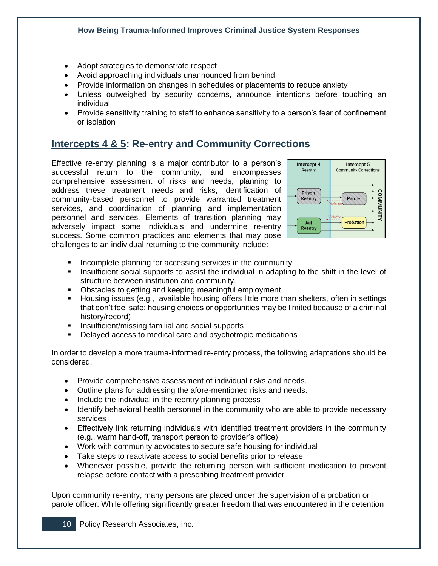- Adopt strategies to demonstrate respect
- Avoid approaching individuals unannounced from behind
- Provide information on changes in schedules or placements to reduce anxiety
- Unless outweighed by security concerns, announce intentions before touching an individual
- Provide sensitivity training to staff to enhance sensitivity to a person's fear of confinement or isolation

## **Intercepts 4 & 5: Re-entry and Community Corrections**

Effective re-entry planning is a major contributor to a person's successful return to the community, and encompasses comprehensive assessment of risks and needs, planning to address these treatment needs and risks, identification of community-based personnel to provide warranted treatment services, and coordination of planning and implementation personnel and services. Elements of transition planning may adversely impact some individuals and undermine re-entry success. Some common practices and elements that may pose challenges to an individual returning to the community include:



- Incomplete planning for accessing services in the community
- Insufficient social supports to assist the individual in adapting to the shift in the level of structure between institution and community.
- Obstacles to getting and keeping meaningful employment
- Housing issues (e.g., available housing offers little more than shelters, often in settings that don't feel safe; housing choices or opportunities may be limited because of a criminal history/record)
- Insufficient/missing familial and social supports
- Delayed access to medical care and psychotropic medications

In order to develop a more trauma-informed re-entry process, the following adaptations should be considered.

- Provide comprehensive assessment of individual risks and needs.
- Outline plans for addressing the afore-mentioned risks and needs.
- Include the individual in the reentry planning process
- Identify behavioral health personnel in the community who are able to provide necessary services
- Effectively link returning individuals with identified treatment providers in the community (e.g., warm hand-off, transport person to provider's office)
- Work with community advocates to secure safe housing for individual
- Take steps to reactivate access to social benefits prior to release
- Whenever possible, provide the returning person with sufficient medication to prevent relapse before contact with a prescribing treatment provider

Upon community re-entry, many persons are placed under the supervision of a probation or parole officer. While offering significantly greater freedom that was encountered in the detention